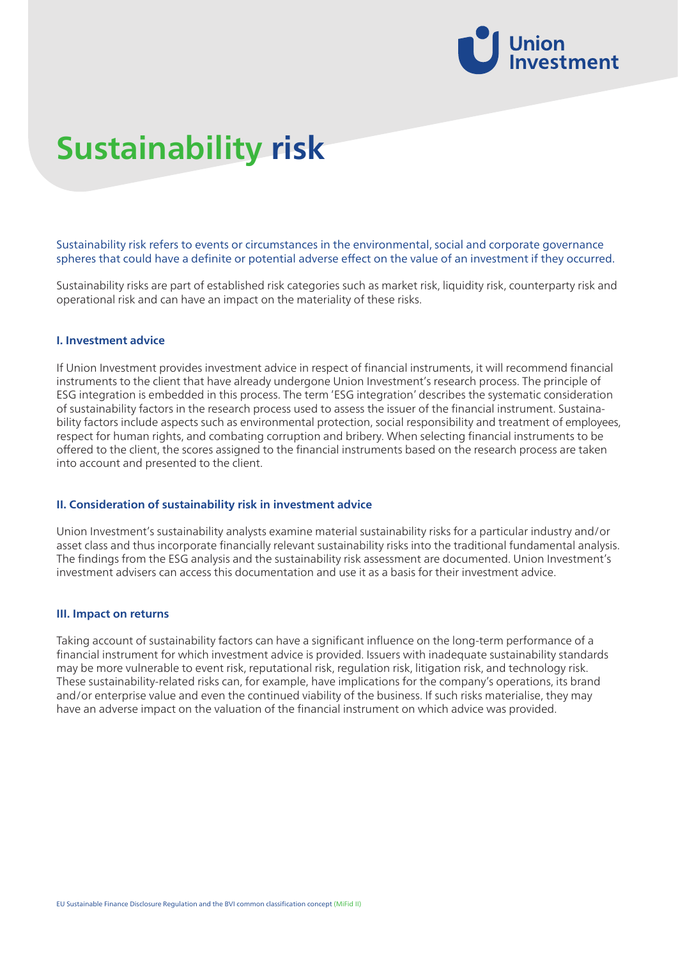

# **Sustainability risk**

# Sustainability risk refers to events or circumstances in the environmental, social and corporate governance spheres that could have a definite or potential adverse effect on the value of an investment if they occurred.

Sustainability risks are part of established risk categories such as market risk, liquidity risk, counterparty risk and operational risk and can have an impact on the materiality of these risks.

#### **I. Investment advice**

If Union Investment provides investment advice in respect of financial instruments, it will recommend financial instruments to the client that have already undergone Union Investment's research process. The principle of ESG integration is embedded in this process. The term 'ESG integration' describes the systematic consideration of sustainability factors in the research process used to assess the issuer of the financial instrument. Sustainability factors include aspects such as environmental protection, social responsibility and treatment of employees, respect for human rights, and combating corruption and bribery. When selecting financial instruments to be offered to the client, the scores assigned to the financial instruments based on the research process are taken into account and presented to the client.

## **II. Consideration of sustainability risk in investment advice**

Union Investment's sustainability analysts examine material sustainability risks for a particular industry and/or asset class and thus incorporate financially relevant sustainability risks into the traditional fundamental analysis. The findings from the ESG analysis and the sustainability risk assessment are documented. Union Investment's investment advisers can access this documentation and use it as a basis for their investment advice.

### **III. Impact on returns**

Taking account of sustainability factors can have a significant influence on the long-term performance of a financial instrument for which investment advice is provided. Issuers with inadequate sustainability standards may be more vulnerable to event risk, reputational risk, regulation risk, litigation risk, and technology risk. These sustainability-related risks can, for example, have implications for the company's operations, its brand and/or enterprise value and even the continued viability of the business. If such risks materialise, they may have an adverse impact on the valuation of the financial instrument on which advice was provided.